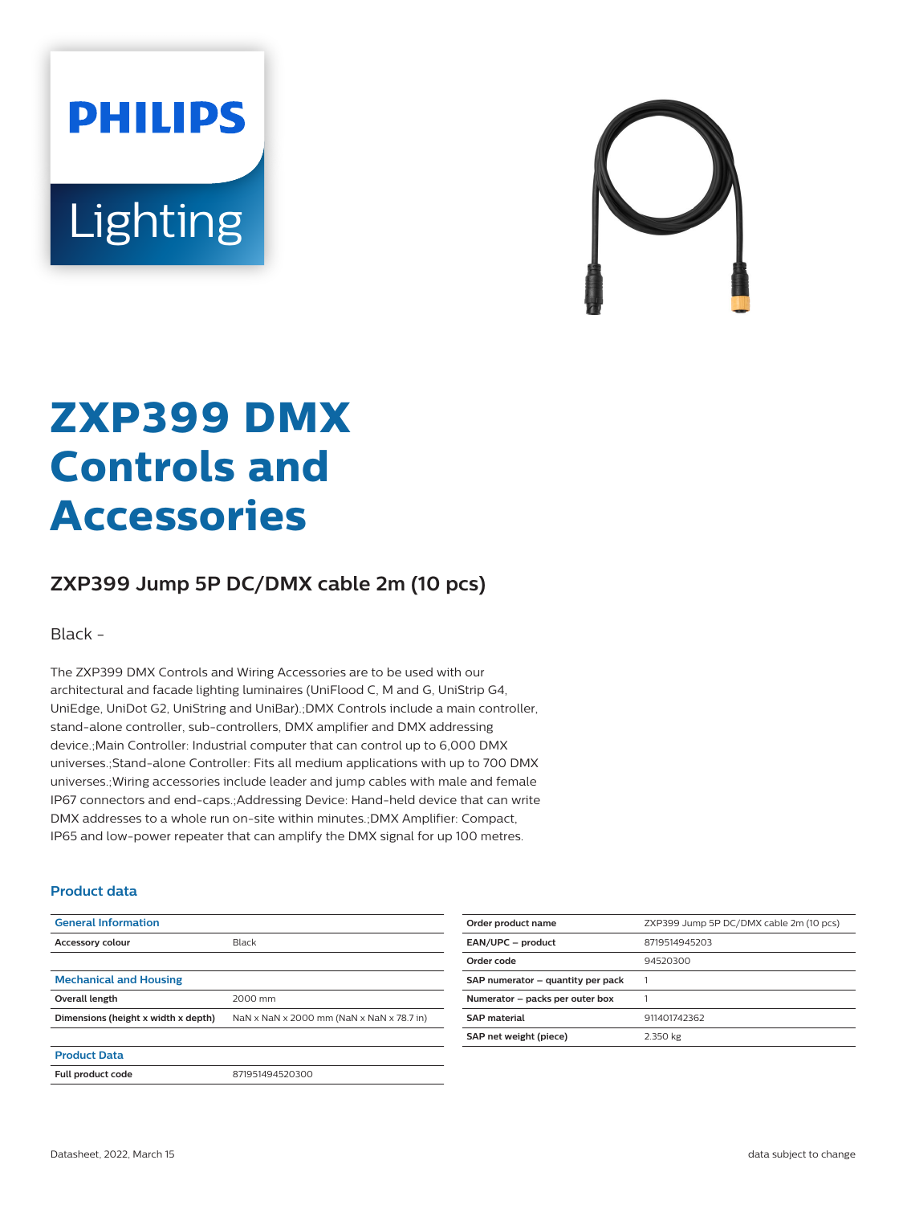**PHILIPS** Lighting



## **ZXP399 DMX Controls and Accessories**

## **ZXP399 Jump 5P DC/DMX cable 2m (10 pcs)**

Black -

The ZXP399 DMX Controls and Wiring Accessories are to be used with our architectural and facade lighting luminaires (UniFlood C, M and G, UniStrip G4, UniEdge, UniDot G2, UniString and UniBar).;DMX Controls include a main controller, stand-alone controller, sub-controllers, DMX amplifier and DMX addressing device.;Main Controller: Industrial computer that can control up to 6,000 DMX universes.;Stand-alone Controller: Fits all medium applications with up to 700 DMX universes.;Wiring accessories include leader and jump cables with male and female IP67 connectors and end-caps.;Addressing Device: Hand-held device that can write DMX addresses to a whole run on-site within minutes.;DMX Amplifier: Compact, IP65 and low-power repeater that can amplify the DMX signal for up 100 metres.

## **Product data**

| <b>General Information</b>          |                                           |
|-------------------------------------|-------------------------------------------|
| <b>Accessory colour</b>             | Black                                     |
|                                     |                                           |
| <b>Mechanical and Housing</b>       |                                           |
| Overall length                      | 2000 mm                                   |
| Dimensions (height x width x depth) | NaN x NaN x 2000 mm (NaN x NaN x 78.7 in) |
|                                     |                                           |
| <b>Product Data</b>                 |                                           |
| Full product code                   | 871951494520300                           |

| Order product name                | ZXP399 Jump 5P DC/DMX cable 2m (10 pcs) |
|-----------------------------------|-----------------------------------------|
| EAN/UPC - product                 | 8719514945203                           |
| Order code                        | 94520300                                |
| SAP numerator - quantity per pack |                                         |
| Numerator - packs per outer box   |                                         |
| <b>SAP</b> material               | 911401742362                            |
| SAP net weight (piece)            | 2.350 kg                                |